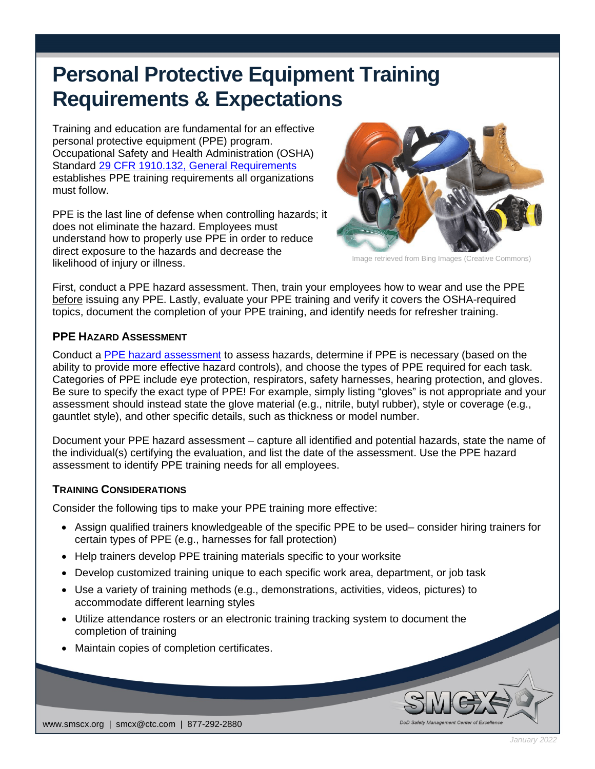# **Personal Protective Equipment Training Requirements & Expectations**

Training and education are fundamental for an effective personal protective equipment (PPE) program. Occupational Safety and Health Administration (OSHA) Standard [29 CFR 1910.132, General Requirements](https://www.osha.gov/laws-regs/regulations/standardnumber/1910/1910.132) establishes PPE training requirements all organizations must follow.

PPE is the last line of defense when controlling hazards; it does not eliminate the hazard. Employees must understand how to properly use PPE in order to reduce direct exposure to the hazards and decrease the likelihood of injury or illness.



Image retrieved from Bing Images (Creative Commons)

First, conduct a PPE hazard assessment. Then, train your employees how to wear and use the PPE before issuing any PPE. Lastly, evaluate your PPE training and verify it covers the OSHA-required topics, document the completion of your PPE training, and identify needs for refresher training.

#### **PPE HAZARD ASSESSMENT**

Conduct a [PPE hazard assessment](https://www.osha.gov/sites/default/files/training-library_ppe_assessment.pdf) to assess hazards, determine if PPE is necessary (based on the ability to provide more effective hazard controls), and choose the types of PPE required for each task. Categories of PPE include eye protection, respirators, safety harnesses, hearing protection, and gloves. Be sure to specify the exact type of PPE! For example, simply listing "gloves" is not appropriate and your assessment should instead state the glove material (e.g., nitrile, butyl rubber), style or coverage (e.g., gauntlet style), and other specific details, such as thickness or model number.

Document your PPE hazard assessment – capture all identified and potential hazards, state the name of the individual(s) certifying the evaluation, and list the date of the assessment. Use the PPE hazard assessment to identify PPE training needs for all employees.

## **TRAINING CONSIDERATIONS**

Consider the following tips to make your PPE training more effective:

- Assign qualified trainers knowledgeable of the specific PPE to be used– consider hiring trainers for certain types of PPE (e.g., harnesses for fall protection)
- Help trainers develop PPE training materials specific to your worksite
- Develop customized training unique to each specific work area, department, or job task
- Use a variety of training methods (e.g., demonstrations, activities, videos, pictures) to accommodate different learning styles
- Utilize attendance rosters or an electronic training tracking system to document the completion of training
- Maintain copies of completion certificates.